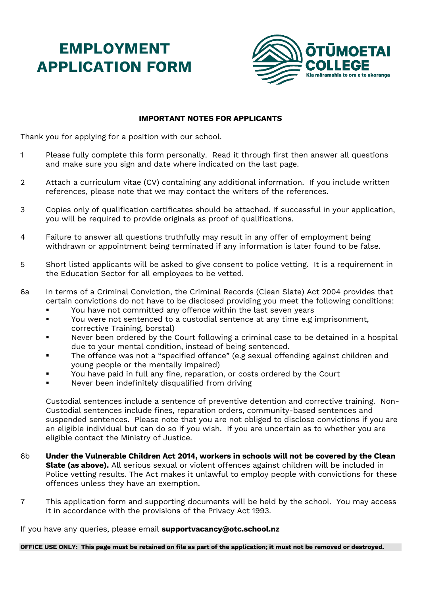## **EMPLOYMENT APPLICATION FORM**



#### **IMPORTANT NOTES FOR APPLICANTS**

Thank you for applying for a position with our school.

- 1 Please fully complete this form personally. Read it through first then answer all questions and make sure you sign and date where indicated on the last page.
- 2 Attach a curriculum vitae (CV) containing any additional information. If you include written references, please note that we may contact the writers of the references.
- 3 Copies only of qualification certificates should be attached. If successful in your application, you will be required to provide originals as proof of qualifications.
- 4 Failure to answer all questions truthfully may result in any offer of employment being withdrawn or appointment being terminated if any information is later found to be false.
- 5 Short listed applicants will be asked to give consent to police vetting. It is a requirement in the Education Sector for all employees to be vetted.
- 6a In terms of a Criminal Conviction, the Criminal Records (Clean Slate) Act 2004 provides that certain convictions do not have to be disclosed providing you meet the following conditions:
	- You have not committed any offence within the last seven years
	- You were not sentenced to a custodial sentence at any time e.g imprisonment, corrective Training, borstal)
	- Never been ordered by the Court following a criminal case to be detained in a hospital due to your mental condition, instead of being sentenced.
	- The offence was not a "specified offence" (e.g sexual offending against children and young people or the mentally impaired)
	- You have paid in full any fine, reparation, or costs ordered by the Court
	- Never been indefinitely disqualified from driving

Custodial sentences include a sentence of preventive detention and corrective training. Non-Custodial sentences include fines, reparation orders, community-based sentences and suspended sentences. Please note that you are not obliged to disclose convictions if you are an eligible individual but can do so if you wish. If you are uncertain as to whether you are eligible contact the Ministry of Justice.

- 6b **Under the Vulnerable Children Act 2014, workers in schools will not be covered by the Clean Slate (as above).** All serious sexual or violent offences against children will be included in Police vetting results. The Act makes it unlawful to employ people with convictions for these offences unless they have an exemption.
- 7 This application form and supporting documents will be held by the school. You may access it in accordance with the provisions of the Privacy Act 1993.

If you have any queries, please email **supportvacancy@otc.school.nz**

**OFFICE USE ONLY: This page must be retained on file as part of the application; it must not be removed or destroyed.**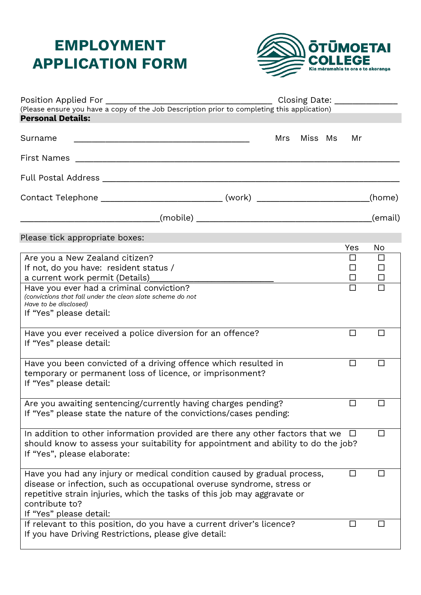# **EMPLOYMENT APPLICATION FORM**



| <b>Personal Details:</b><br>Miss Ms<br>Mrs<br>Mr<br>Contact Telephone _________________________________(work) ______________________<br>(home)<br>(email)<br>Please tick appropriate boxes:<br>Yes<br>No<br>Are you a New Zealand citizen?<br>ΙI<br>ப<br>If not, do you have: resident status /<br>П<br>П<br>$\Box$<br>□<br>$\Box$<br>Have you ever had a criminal conviction?<br>П<br>(convictions that fall under the clean slate scheme do not<br>Have to be disclosed)<br>If "Yes" please detail:<br>Have you ever received a police diversion for an offence?<br>$\Box$<br>П<br>If "Yes" please detail:<br>Have you been convicted of a driving offence which resulted in<br>$\Box$<br>temporary or permanent loss of licence, or imprisonment?<br>If "Yes" please detail:<br>Are you awaiting sentencing/currently having charges pending?<br>If "Yes" please state the nature of the convictions/cases pending:<br>In addition to other information provided are there any other factors that we<br>ΙI<br>⊔<br>should know to assess your suitability for appointment and ability to do the job?<br>If "Yes", please elaborate:<br>Have you had any injury or medical condition caused by gradual process,<br>disease or infection, such as occupational overuse syndrome, stress or<br>repetitive strain injuries, which the tasks of this job may aggravate or<br>contribute to?<br>If "Yes" please detail:<br>If relevant to this position, do you have a current driver's licence?<br>ΙI<br>If you have Driving Restrictions, please give detail: |         |  |  | Closing Date: _______________ |
|--------------------------------------------------------------------------------------------------------------------------------------------------------------------------------------------------------------------------------------------------------------------------------------------------------------------------------------------------------------------------------------------------------------------------------------------------------------------------------------------------------------------------------------------------------------------------------------------------------------------------------------------------------------------------------------------------------------------------------------------------------------------------------------------------------------------------------------------------------------------------------------------------------------------------------------------------------------------------------------------------------------------------------------------------------------------------------------------------------------------------------------------------------------------------------------------------------------------------------------------------------------------------------------------------------------------------------------------------------------------------------------------------------------------------------------------------------------------------------------------------------------------------------------------------------------|---------|--|--|-------------------------------|
|                                                                                                                                                                                                                                                                                                                                                                                                                                                                                                                                                                                                                                                                                                                                                                                                                                                                                                                                                                                                                                                                                                                                                                                                                                                                                                                                                                                                                                                                                                                                                              |         |  |  |                               |
|                                                                                                                                                                                                                                                                                                                                                                                                                                                                                                                                                                                                                                                                                                                                                                                                                                                                                                                                                                                                                                                                                                                                                                                                                                                                                                                                                                                                                                                                                                                                                              |         |  |  |                               |
|                                                                                                                                                                                                                                                                                                                                                                                                                                                                                                                                                                                                                                                                                                                                                                                                                                                                                                                                                                                                                                                                                                                                                                                                                                                                                                                                                                                                                                                                                                                                                              | Surname |  |  |                               |
|                                                                                                                                                                                                                                                                                                                                                                                                                                                                                                                                                                                                                                                                                                                                                                                                                                                                                                                                                                                                                                                                                                                                                                                                                                                                                                                                                                                                                                                                                                                                                              |         |  |  |                               |
|                                                                                                                                                                                                                                                                                                                                                                                                                                                                                                                                                                                                                                                                                                                                                                                                                                                                                                                                                                                                                                                                                                                                                                                                                                                                                                                                                                                                                                                                                                                                                              |         |  |  |                               |
|                                                                                                                                                                                                                                                                                                                                                                                                                                                                                                                                                                                                                                                                                                                                                                                                                                                                                                                                                                                                                                                                                                                                                                                                                                                                                                                                                                                                                                                                                                                                                              |         |  |  |                               |
|                                                                                                                                                                                                                                                                                                                                                                                                                                                                                                                                                                                                                                                                                                                                                                                                                                                                                                                                                                                                                                                                                                                                                                                                                                                                                                                                                                                                                                                                                                                                                              |         |  |  |                               |
|                                                                                                                                                                                                                                                                                                                                                                                                                                                                                                                                                                                                                                                                                                                                                                                                                                                                                                                                                                                                                                                                                                                                                                                                                                                                                                                                                                                                                                                                                                                                                              |         |  |  |                               |
|                                                                                                                                                                                                                                                                                                                                                                                                                                                                                                                                                                                                                                                                                                                                                                                                                                                                                                                                                                                                                                                                                                                                                                                                                                                                                                                                                                                                                                                                                                                                                              |         |  |  |                               |
|                                                                                                                                                                                                                                                                                                                                                                                                                                                                                                                                                                                                                                                                                                                                                                                                                                                                                                                                                                                                                                                                                                                                                                                                                                                                                                                                                                                                                                                                                                                                                              |         |  |  |                               |
|                                                                                                                                                                                                                                                                                                                                                                                                                                                                                                                                                                                                                                                                                                                                                                                                                                                                                                                                                                                                                                                                                                                                                                                                                                                                                                                                                                                                                                                                                                                                                              |         |  |  |                               |
|                                                                                                                                                                                                                                                                                                                                                                                                                                                                                                                                                                                                                                                                                                                                                                                                                                                                                                                                                                                                                                                                                                                                                                                                                                                                                                                                                                                                                                                                                                                                                              |         |  |  |                               |
|                                                                                                                                                                                                                                                                                                                                                                                                                                                                                                                                                                                                                                                                                                                                                                                                                                                                                                                                                                                                                                                                                                                                                                                                                                                                                                                                                                                                                                                                                                                                                              |         |  |  |                               |
|                                                                                                                                                                                                                                                                                                                                                                                                                                                                                                                                                                                                                                                                                                                                                                                                                                                                                                                                                                                                                                                                                                                                                                                                                                                                                                                                                                                                                                                                                                                                                              |         |  |  |                               |
|                                                                                                                                                                                                                                                                                                                                                                                                                                                                                                                                                                                                                                                                                                                                                                                                                                                                                                                                                                                                                                                                                                                                                                                                                                                                                                                                                                                                                                                                                                                                                              |         |  |  |                               |
|                                                                                                                                                                                                                                                                                                                                                                                                                                                                                                                                                                                                                                                                                                                                                                                                                                                                                                                                                                                                                                                                                                                                                                                                                                                                                                                                                                                                                                                                                                                                                              |         |  |  |                               |
|                                                                                                                                                                                                                                                                                                                                                                                                                                                                                                                                                                                                                                                                                                                                                                                                                                                                                                                                                                                                                                                                                                                                                                                                                                                                                                                                                                                                                                                                                                                                                              |         |  |  |                               |
|                                                                                                                                                                                                                                                                                                                                                                                                                                                                                                                                                                                                                                                                                                                                                                                                                                                                                                                                                                                                                                                                                                                                                                                                                                                                                                                                                                                                                                                                                                                                                              |         |  |  |                               |
|                                                                                                                                                                                                                                                                                                                                                                                                                                                                                                                                                                                                                                                                                                                                                                                                                                                                                                                                                                                                                                                                                                                                                                                                                                                                                                                                                                                                                                                                                                                                                              |         |  |  |                               |
|                                                                                                                                                                                                                                                                                                                                                                                                                                                                                                                                                                                                                                                                                                                                                                                                                                                                                                                                                                                                                                                                                                                                                                                                                                                                                                                                                                                                                                                                                                                                                              |         |  |  |                               |
|                                                                                                                                                                                                                                                                                                                                                                                                                                                                                                                                                                                                                                                                                                                                                                                                                                                                                                                                                                                                                                                                                                                                                                                                                                                                                                                                                                                                                                                                                                                                                              |         |  |  |                               |
|                                                                                                                                                                                                                                                                                                                                                                                                                                                                                                                                                                                                                                                                                                                                                                                                                                                                                                                                                                                                                                                                                                                                                                                                                                                                                                                                                                                                                                                                                                                                                              |         |  |  |                               |
|                                                                                                                                                                                                                                                                                                                                                                                                                                                                                                                                                                                                                                                                                                                                                                                                                                                                                                                                                                                                                                                                                                                                                                                                                                                                                                                                                                                                                                                                                                                                                              |         |  |  |                               |
|                                                                                                                                                                                                                                                                                                                                                                                                                                                                                                                                                                                                                                                                                                                                                                                                                                                                                                                                                                                                                                                                                                                                                                                                                                                                                                                                                                                                                                                                                                                                                              |         |  |  |                               |
|                                                                                                                                                                                                                                                                                                                                                                                                                                                                                                                                                                                                                                                                                                                                                                                                                                                                                                                                                                                                                                                                                                                                                                                                                                                                                                                                                                                                                                                                                                                                                              |         |  |  |                               |
|                                                                                                                                                                                                                                                                                                                                                                                                                                                                                                                                                                                                                                                                                                                                                                                                                                                                                                                                                                                                                                                                                                                                                                                                                                                                                                                                                                                                                                                                                                                                                              |         |  |  |                               |
|                                                                                                                                                                                                                                                                                                                                                                                                                                                                                                                                                                                                                                                                                                                                                                                                                                                                                                                                                                                                                                                                                                                                                                                                                                                                                                                                                                                                                                                                                                                                                              |         |  |  |                               |
|                                                                                                                                                                                                                                                                                                                                                                                                                                                                                                                                                                                                                                                                                                                                                                                                                                                                                                                                                                                                                                                                                                                                                                                                                                                                                                                                                                                                                                                                                                                                                              |         |  |  |                               |
|                                                                                                                                                                                                                                                                                                                                                                                                                                                                                                                                                                                                                                                                                                                                                                                                                                                                                                                                                                                                                                                                                                                                                                                                                                                                                                                                                                                                                                                                                                                                                              |         |  |  |                               |
|                                                                                                                                                                                                                                                                                                                                                                                                                                                                                                                                                                                                                                                                                                                                                                                                                                                                                                                                                                                                                                                                                                                                                                                                                                                                                                                                                                                                                                                                                                                                                              |         |  |  |                               |
|                                                                                                                                                                                                                                                                                                                                                                                                                                                                                                                                                                                                                                                                                                                                                                                                                                                                                                                                                                                                                                                                                                                                                                                                                                                                                                                                                                                                                                                                                                                                                              |         |  |  |                               |
|                                                                                                                                                                                                                                                                                                                                                                                                                                                                                                                                                                                                                                                                                                                                                                                                                                                                                                                                                                                                                                                                                                                                                                                                                                                                                                                                                                                                                                                                                                                                                              |         |  |  |                               |
|                                                                                                                                                                                                                                                                                                                                                                                                                                                                                                                                                                                                                                                                                                                                                                                                                                                                                                                                                                                                                                                                                                                                                                                                                                                                                                                                                                                                                                                                                                                                                              |         |  |  |                               |
|                                                                                                                                                                                                                                                                                                                                                                                                                                                                                                                                                                                                                                                                                                                                                                                                                                                                                                                                                                                                                                                                                                                                                                                                                                                                                                                                                                                                                                                                                                                                                              |         |  |  |                               |
|                                                                                                                                                                                                                                                                                                                                                                                                                                                                                                                                                                                                                                                                                                                                                                                                                                                                                                                                                                                                                                                                                                                                                                                                                                                                                                                                                                                                                                                                                                                                                              |         |  |  |                               |